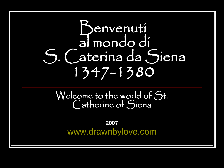# Benvenuti al mondo di S. Caterina da Siena 1347-1380

Welcome to the world of St. Catherine of Siena

**2007** [www.drawnbylove.com](http://www.drawnbylove.com/)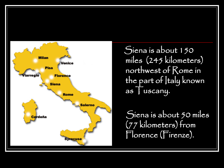

Siena is about 150 miles (245 kilometers) northwest of Rome in the part of Italy known as  $\sqrt{\phantom{a}}$  uscany.

Siena is about 50 miles (77 kilometers) from Florence (Firenze).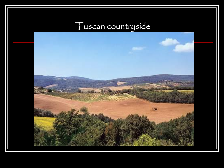#### Tuscan countryside

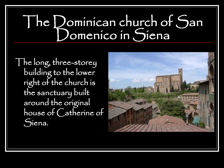## The Dominican church of San Domenico in Siena

The long, three-storey building to the lower right of the church is the sanctuary built around the original house of Catherine of Siena.

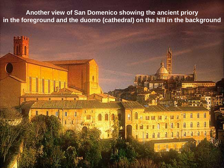**Another view of San Domenico showing the ancient priory in the foreground and the duomo (cathedral) on the hill in the background**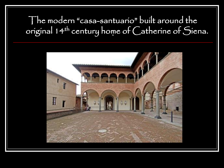. original 14th century home of Catherine of Siena. The modern "casa-santuario" built around the

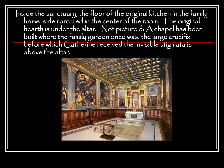Inside the sanctuary, the floor of the original kitchen in the family home is demarcated in the center of the room. The original hearth is under the altar.  $\hbox{Not picture d: } A$  chapel has been built where the family garden once was; the large crucifix before which Catherine received the invisible stigmata is above the altar.

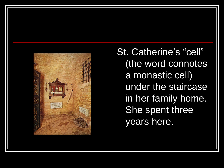

St. Catherine's "cell" (the word connotes a monastic cell) under the staircase in her family home. She spent three years here.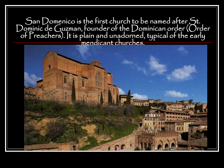San Domenico is the first church to be named after  $St.$ Dominic de Guzman, founder of the Dominican order (Order of Preachers). It is plain and unadorned, typical of the early mendicant churches.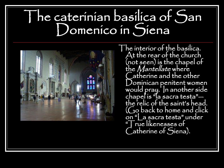### The caterinian basilica of San Domenico in Siena



The interior of the basilica. At the rear of the church (not seen) is the chapel of the *Mantellate* where Catherine and the other Dominican penitent women would pray. In another side chapel is "la sacra testa" the relic of the saint's head. (Go back to home and click on "La sacra testa" under True likenesses of Catherine of Siena).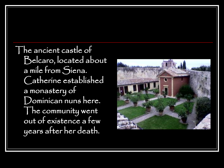The ancient castle of Belcaro, located about a mile from Siena. Catherine established a monastery of Dominican nuns here. The community went out of existence a few years after her death.

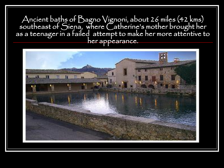Ancient baths of Bagno Vignoni, about 26 miles (42 kms) southeast of Siena, where Catherine's mother brought her as a teenager in a failed attempt to make her more attentive to her appearance.

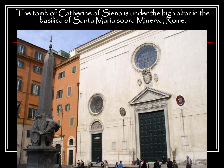#### The tomb of  $\bigcirc$  atherine of  $\bigcirc$ iena is under the high altar in the basilica of Santa Maria sopra Minerva, Rome.

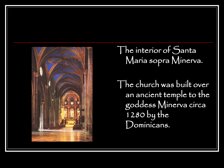

The interior of Santa Maria sopra Minerva.

The church was built over an ancient temple to the goddess Minerva circa 1280 by the Dominicans.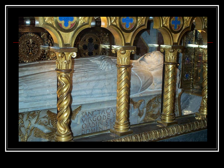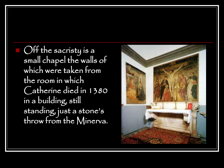Off the sacristy is a small chapel the walls of which were taken from the room in which Catherine died in 1380 in a building, still standing, just a stone's throw from the Minerva.

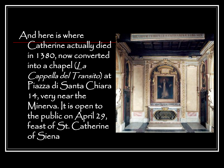And here is where Catherine actually died in 1380, now converted into a chapel  $(La)$ Cappella del Transito) at Piazza di Santa Chiara 14, very near the Minerva. It is open to the public on April 29, feast of St. Catherine of Siena